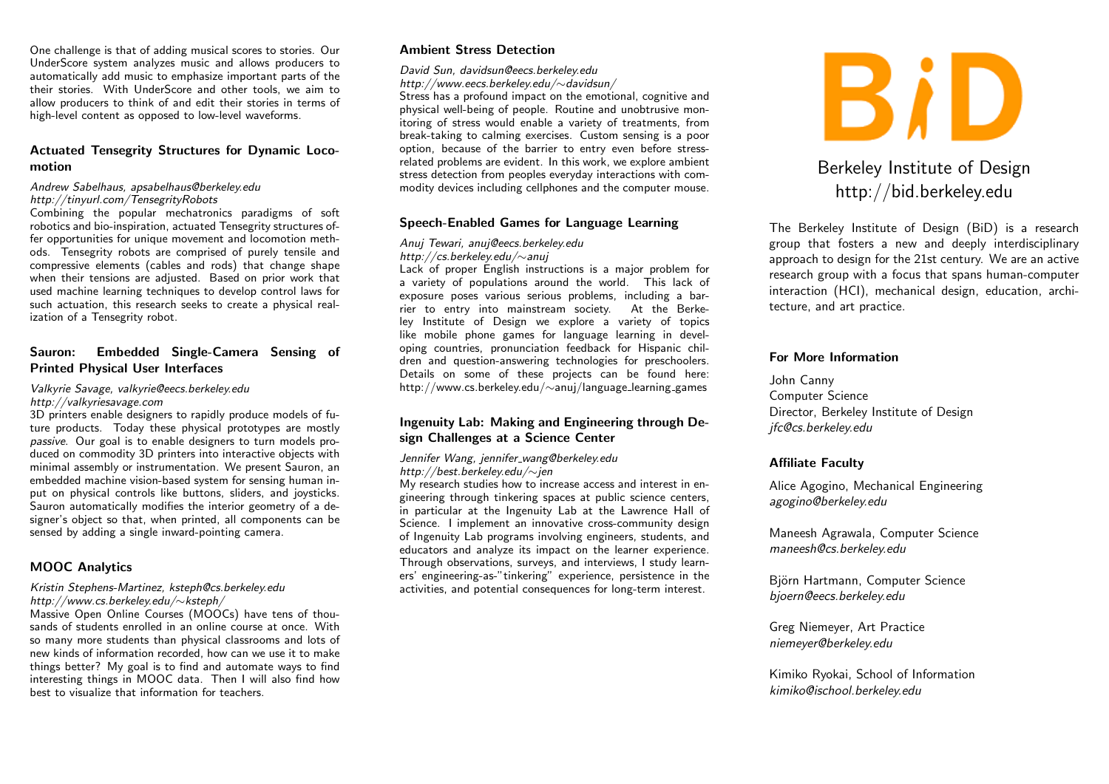One challenge is that of adding musical scores to stories. Our UnderScore system analyzes music and allows producers to automatically add music to emphasize important parts of the their stories. With UnderScore and other tools, we aim to allow producers to think of and edit their stories in terms of high-level content as opposed to low-level waveforms.

# Actuated Tensegrity Structures for Dynamic Locomotion

# Andrew Sabelhaus, apsabelhaus@berkeley.edu

http://tinyurl.com/TensegrityRobots

Combining the popular mechatronics paradigms of soft robotics and bio-inspiration, actuated Tensegrity structures offer opportunities for unique movement and locomotion methods. Tensegrity robots are comprised of purely tensile and compressive elements (cables and rods) that change shape when their tensions are adjusted. Based on prior work that used machine learning techniques to develop control laws for such actuation, this research seeks to create a physical realization of a Tensegrity robot.

# Sauron: Embedded Single-Camera Sensing of Printed Physical User Interfaces

#### Valkyrie Savage, valkyrie@eecs.berkeley.edu http://valkyriesavage.com

3D printers enable designers to rapidly produce models of future products. Today these physical prototypes are mostly passive. Our goal is to enable designers to turn models produced on commodity 3D printers into interactive objects with minimal assembly or instrumentation. We present Sauron, an embedded machine vision-based system for sensing human input on physical controls like buttons, sliders, and joysticks. Sauron automatically modifies the interior geometry of a designer's object so that, when printed, all components can be sensed by adding a single inward-pointing camera.

# MOOC Analytics

#### Kristin Stephens-Martinez, ksteph@cs.berkeley.edu http://www.cs.berkeley.edu/∼ksteph/

Massive Open Online Courses (MOOCs) have tens of thousands of students enrolled in an online course at once. With so many more students than physical classrooms and lots of new kinds of information recorded, how can we use it to make things better? My goal is to find and automate ways to find interesting things in MOOC data. Then I will also find how best to visualize that information for teachers.

### Ambient Stress Detection

David Sun, davidsun@eecs.berkeley.edu http://www.eecs.berkeley.edu/∼davidsun/

Stress has a profound impact on the emotional, cognitive and physical well-being of people. Routine and unobtrusive monitoring of stress would enable a variety of treatments, from break-taking to calming exercises. Custom sensing is a poor option, because of the barrier to entry even before stressrelated problems are evident. In this work, we explore ambient stress detection from peoples everyday interactions with commodity devices including cellphones and the computer mouse.

### Speech-Enabled Games for Language Learning

### Anuj Tewari, anuj@eecs.berkeley.edu

### http://cs.berkeley.edu/∼anuj

Lack of proper English instructions is a major problem for a variety of populations around the world. This lack of exposure poses various serious problems, including a barrier to entry into mainstream society. At the Berkeley Institute of Design we explore a variety of topics like mobile phone games for language learning in developing countries, pronunciation feedback for Hispanic children and question-answering technologies for preschoolers. Details on some of these projects can be found here: http://www.cs.berkeley.edu/∼anuj/language learning games

### Ingenuity Lab: Making and Engineering through Design Challenges at a Science Center

### Jennifer Wang, jennifer wang@berkeley.edu http://best.berkeley.edu/∼jen

My research studies how to increase access and interest in engineering through tinkering spaces at public science centers, in particular at the Ingenuity Lab at the Lawrence Hall of Science. I implement an innovative cross-community design of Ingenuity Lab programs involving engineers, students, and educators and analyze its impact on the learner experience. Through observations, surveys, and interviews, I study learners' engineering-as-"tinkering" experience, persistence in the activities, and potential consequences for long-term interest.



# Berkeley Institute of Design http://bid.berkeley.edu

The Berkeley Institute of Design (BiD) is a research group that fosters a new and deeply interdisciplinary approach to design for the 21st century. We are an active research group with a focus that spans human-computer interaction (HCI), mechanical design, education, architecture, and art practice.

### For More Information

John Canny Computer Science Director, Berkeley Institute of Design jfc@cs.berkeley.edu

### Affiliate Faculty

Alice Agogino, Mechanical Engineering agogino@berkeley.edu

Maneesh Agrawala, Computer Science maneesh@cs.berkeley.edu

Björn Hartmann, Computer Science bjoern@eecs.berkeley.edu

Greg Niemeyer, Art Practice niemeyer@berkeley.edu

Kimiko Ryokai, School of Information kimiko@ischool.berkeley.edu